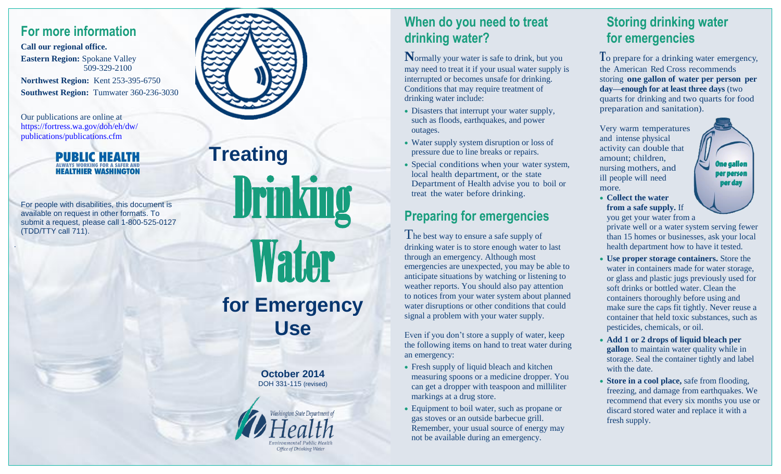#### **For more information**

**Call our regional office. Eastern Region:** Spokane Valley 509-329-2100 **Northwest Region:** Kent 253-395-6750 **Southwest Region:** Tumwater 360-236-3030

Our publications are online at [https://fortress.wa.gov/doh/eh/dw/](https://fortress.wa.gov/doh/eh/dw/publications/publications.cfm) [publications/publications.cfm](https://fortress.wa.gov/doh/eh/dw/publications/publications.cfm)

.



For people with disabilities, this document is available on request in other formats. To submit a request, please call 1-800-525-0127 (TDD/TTY call 711).



**Treating**

# Drinking **Water for Emergency Use**

**October 2014** DOH 331-115 (revised)



#### **When do you need to treat drinking water?**

**N**ormally your water is safe to drink, but you may need to treat it if your usual water supply is interrupted or becomes unsafe for drinking. Conditions that may require treatment of drinking water include:

- Disasters that interrupt your water supply, such as floods, earthquakes, and power outages.
- Water supply system disruption or loss of pressure due to line breaks or repairs.
- Special conditions when your water system, local health department, or the state Department of Health advise you to boil or treat the water before drinking.

#### **Preparing for emergencies**

The best way to ensure a safe supply of drinking water is to store enough water to last through an emergency. Although most emergencies are unexpected, you may be able to anticipate situations by watching or listening to weather reports. You should also pay attention to notices from your water system about planned water disruptions or other conditions that could signal a problem with your water supply.

Even if you don't store a supply of water, keep the following items on hand to treat water during an emergency:

- Fresh supply of liquid bleach and kitchen measuring spoons or a medicine dropper. You can get a dropper with teaspoon and milliliter markings at a drug store.
- Equipment to boil water, such as propane or gas stoves or an outside barbecue grill. Remember, your usual source of energy may not be available during an emergency.

## **Storing drinking water for emergencies**

**T**o prepare for a drinking water emergency, the American Red Cross recommends storing **one gallon of water per person per day—enough for at least three days** (two quarts for drinking and two quarts for food preparation and sanitation).

Very warm temperatures and intense physical activity can double that amount; children, nursing mothers, and ill people will need more.

- ne gallor per person per day
- **Collect the water from a safe supply.** If you get your water from a

private well or a water system serving fewer than 15 homes or businesses, ask your local health department how to have it tested.

- **Use proper storage containers.** Store the water in containers made for water storage, or glass and plastic jugs previously used for soft drinks or bottled water. Clean the containers thoroughly before using and make sure the caps fit tightly. Never reuse a container that held toxic substances, such as pesticides, chemicals, or oil.
- **Add 1 or 2 drops of liquid bleach per gallon** to maintain water quality while in storage. Seal the container tightly and label with the date.
- **Store in a cool place,** safe from flooding, freezing, and damage from earthquakes. We recommend that every six months you use or discard stored water and replace it with a fresh supply.